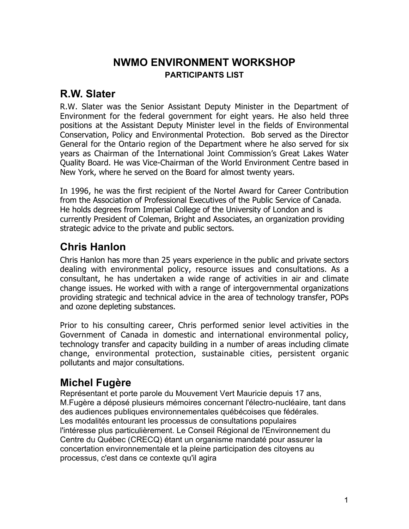### **NWMO ENVIRONMENT WORKSHOP PARTICIPANTS LIST**

#### **R.W. Slater**

R.W. Slater was the Senior Assistant Deputy Minister in the Department of Environment for the federal government for eight years. He also held three positions at the Assistant Deputy Minister level in the fields of Environmental Conservation, Policy and Environmental Protection. Bob served as the Director General for the Ontario region of the Department where he also served for six years as Chairman of the International Joint Commission's Great Lakes Water Quality Board. He was Vice-Chairman of the World Environment Centre based in New York, where he served on the Board for almost twenty years.

In 1996, he was the first recipient of the Nortel Award for Career Contribution from the Association of Professional Executives of the Public Service of Canada. He holds degrees from Imperial College of the University of London and is currently President of Coleman, Bright and Associates, an organization providing strategic advice to the private and public sectors.

### **Chris Hanlon**

Chris Hanlon has more than 25 years experience in the public and private sectors dealing with environmental policy, resource issues and consultations. As a consultant, he has undertaken a wide range of activities in air and climate change issues. He worked with with a range of intergovernmental organizations providing strategic and technical advice in the area of technology transfer, POPs and ozone depleting substances.

Prior to his consulting career, Chris performed senior level activities in the Government of Canada in domestic and international environmental policy, technology transfer and capacity building in a number of areas including climate change, environmental protection, sustainable cities, persistent organic pollutants and major consultations.

### **Michel Fugère**

Représentant et porte parole du Mouvement Vert Mauricie depuis 17 ans, M.Fugère a déposé plusieurs mémoires concernant l'électro-nucléaire, tant dans des audiences publiques environnementales québécoises que fédérales. Les modalités entourant les processus de consultations populaires l'intéresse plus particulièrement. Le Conseil Régional de l'Environnement du Centre du Québec (CRECQ) étant un organisme mandaté pour assurer la concertation environnementale et la pleine participation des citoyens au processus, c'est dans ce contexte qu'il agira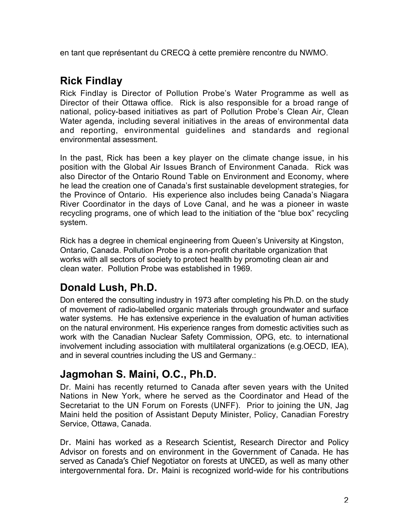en tant que représentant du CRECQ à cette première rencontre du NWMO.

## **Rick Findlay**

Rick Findlay is Director of Pollution Probe's Water Programme as well as Director of their Ottawa office. Rick is also responsible for a broad range of national, policy-based initiatives as part of Pollution Probe's Clean Air, Clean Water agenda, including several initiatives in the areas of environmental data and reporting, environmental guidelines and standards and regional environmental assessment.

In the past, Rick has been a key player on the climate change issue, in his position with the Global Air Issues Branch of Environment Canada. Rick was also Director of the Ontario Round Table on Environment and Economy, where he lead the creation one of Canada's first sustainable development strategies, for the Province of Ontario. His experience also includes being Canada's Niagara River Coordinator in the days of Love Canal, and he was a pioneer in waste recycling programs, one of which lead to the initiation of the "blue box" recycling system.

Rick has a degree in chemical engineering from Queen's University at Kingston, Ontario, Canada. Pollution Probe is a non-profit charitable organization that works with all sectors of society to protect health by promoting clean air and clean water. Pollution Probe was established in 1969.

# **Donald Lush, Ph.D.**

Don entered the consulting industry in 1973 after completing his Ph.D. on the study of movement of radio-labelled organic materials through groundwater and surface water systems. He has extensive experience in the evaluation of human activities on the natural environment. His experience ranges from domestic activities such as work with the Canadian Nuclear Safety Commission, OPG, etc. to international involvement including association with multilateral organizations (e.g.OECD, IEA), and in several countries including the US and Germany.:

## **Jagmohan S. Maini, O.C., Ph.D.**

Dr. Maini has recently returned to Canada after seven years with the United Nations in New York, where he served as the Coordinator and Head of the Secretariat to the UN Forum on Forests (UNFF). Prior to joining the UN, Jag Maini held the position of Assistant Deputy Minister, Policy, Canadian Forestry Service, Ottawa, Canada.

Dr. Maini has worked as a Research Scientist, Research Director and Policy Advisor on forests and on environment in the Government of Canada. He has served as Canada's Chief Negotiator on forests at UNCED, as well as many other intergovernmental fora. Dr. Maini is recognized world-wide for his contributions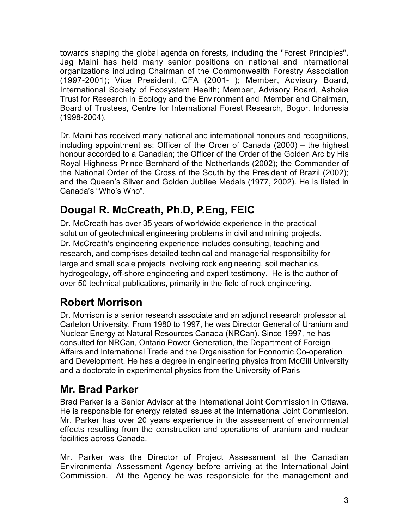towards shaping the global agenda on forests, including the "Forest Principles". Jag Maini has held many senior positions on national and international organizations including Chairman of the Commonwealth Forestry Association (1997-2001); Vice President, CFA (2001- ); Member, Advisory Board, International Society of Ecosystem Health; Member, Advisory Board, Ashoka Trust for Research in Ecology and the Environment and Member and Chairman, Board of Trustees, Centre for International Forest Research, Bogor, Indonesia (1998-2004).

Dr. Maini has received many national and international honours and recognitions, including appointment as: Officer of the Order of Canada (2000) – the highest honour accorded to a Canadian; the Officer of the Order of the Golden Arc by His Royal Highness Prince Bernhard of the Netherlands (2002); the Commander of the National Order of the Cross of the South by the President of Brazil (2002); and the Queen's Silver and Golden Jubilee Medals (1977, 2002). He is listed in Canada's "Who's Who".

# **Dougal R. McCreath, Ph.D, P.Eng, FEIC**

Dr. McCreath has over 35 years of worldwide experience in the practical solution of geotechnical engineering problems in civil and mining projects. Dr. McCreath's engineering experience includes consulting, teaching and research, and comprises detailed technical and managerial responsibility for large and small scale projects involving rock engineering, soil mechanics, hydrogeology, off-shore engineering and expert testimony. He is the author of over 50 technical publications, primarily in the field of rock engineering.

## **Robert Morrison**

Dr. Morrison is a senior research associate and an adjunct research professor at Carleton University. From 1980 to 1997, he was Director General of Uranium and Nuclear Energy at Natural Resources Canada (NRCan). Since 1997, he has consulted for NRCan, Ontario Power Generation, the Department of Foreign Affairs and International Trade and the Organisation for Economic Co-operation and Development. He has a degree in engineering physics from McGill University and a doctorate in experimental physics from the University of Paris

### **Mr. Brad Parker**

Brad Parker is a Senior Advisor at the International Joint Commission in Ottawa. He is responsible for energy related issues at the International Joint Commission. Mr. Parker has over 20 years experience in the assessment of environmental effects resulting from the construction and operations of uranium and nuclear facilities across Canada.

Mr. Parker was the Director of Project Assessment at the Canadian Environmental Assessment Agency before arriving at the International Joint Commission. At the Agency he was responsible for the management and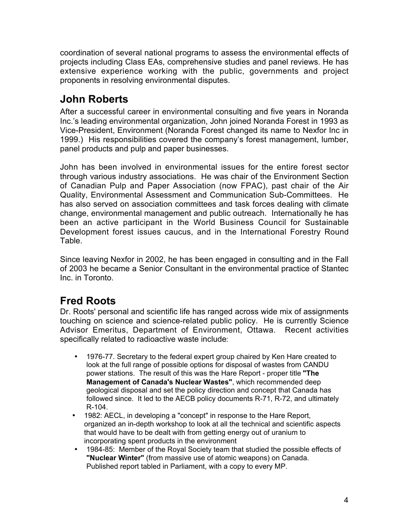coordination of several national programs to assess the environmental effects of projects including Class EAs, comprehensive studies and panel reviews. He has extensive experience working with the public, governments and project proponents in resolving environmental disputes.

# **John Roberts**

After a successful career in environmental consulting and five years in Noranda Inc.'s leading environmental organization, John joined Noranda Forest in 1993 as Vice-President, Environment (Noranda Forest changed its name to Nexfor Inc in 1999.) His responsibilities covered the company's forest management, lumber, panel products and pulp and paper businesses.

John has been involved in environmental issues for the entire forest sector through various industry associations. He was chair of the Environment Section of Canadian Pulp and Paper Association (now FPAC), past chair of the Air Quality, Environmental Assessment and Communication Sub-Committees. He has also served on association committees and task forces dealing with climate change, environmental management and public outreach. Internationally he has been an active participant in the World Business Council for Sustainable Development forest issues caucus, and in the International Forestry Round Table.

Since leaving Nexfor in 2002, he has been engaged in consulting and in the Fall of 2003 he became a Senior Consultant in the environmental practice of Stantec Inc. in Toronto.

### **Fred Roots**

Dr. Roots' personal and scientific life has ranged across wide mix of assignments touching on science and science-related public policy. He is currently Science Advisor Emeritus, Department of Environment, Ottawa. Recent activities specifically related to radioactive waste include:

1976-77. Secretary to the federal expert group chaired by Ken Hare created to look at the full range of possible options for disposal of wastes from CANDU power stations. The result of this was the Hare Report - proper title **"The Management of Canada's Nuclear Wastes"**, which recommended deep geological disposal and set the policy direction and concept that Canada has followed since. It led to the AECB policy documents R-71, R-72, and ultimately R-104.

1982: AECL, in developing a "concept" in response to the Hare Report, organized an in-depth workshop to look at all the technical and scientific aspects that would have to be dealt with from getting energy out of uranium to incorporating spent products in the environment

1984-85: Member of the Royal Society team that studied the possible effects of **"Nuclear Winter"** (from massive use of atomic weapons) on Canada.

Published report tabled in Parliament, with a copy to every MP.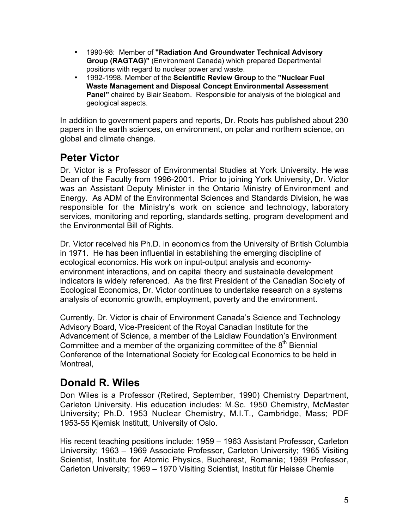1990-98: Member of **"Radiation And Groundwater Technical Advisory Group (RAGTAG)"** (Environment Canada) which prepared Departmental positions with regard to nuclear power and waste.

1992-1998. Member of the **Scientific Review Group** to the **"Nuclear Fuel Waste Management and Disposal Concept Environmental Assessment Panel"** chaired by Blair Seaborn. Responsible for analysis of the biological and geological aspects.

In addition to government papers and reports, Dr. Roots has published about 230 papers in the earth sciences, on environment, on polar and northern science, on global and climate change.

## **Peter Victor**

Dr. Victor is a Professor of Environmental Studies at York University. He was Dean of the Faculty from 1996-2001. Prior to joining York University, Dr. Victor was an Assistant Deputy Minister in the Ontario Ministry of Environment and Energy. As ADM of the Environmental Sciences and Standards Division, he was responsible for the Ministry's work on science and technology, laboratory services, monitoring and reporting, standards setting, program development and the Environmental Bill of Rights.

Dr. Victor received his Ph.D. in economics from the University of British Columbia in 1971. He has been influential in establishing the emerging discipline of ecological economics. His work on input-output analysis and economyenvironment interactions, and on capital theory and sustainable development indicators is widely referenced. As the first President of the Canadian Society of Ecological Economics, Dr. Victor continues to undertake research on a systems analysis of economic growth, employment, poverty and the environment.

Currently, Dr. Victor is chair of Environment Canada's Science and Technology Advisory Board, Vice-President of the Royal Canadian Institute for the Advancement of Science, a member of the Laidlaw Foundation's Environment Committee and a member of the organizing committee of the  $8<sup>th</sup>$  Biennial Conference of the International Society for Ecological Economics to be held in Montreal,

## **Donald R. Wiles**

Don Wiles is a Professor (Retired, September, 1990) Chemistry Department, Carleton University. His education includes: M.Sc. 1950 Chemistry, McMaster University; Ph.D. 1953 Nuclear Chemistry, M.I.T., Cambridge, Mass; PDF 1953-55 Kjemisk Institutt, University of Oslo.

His recent teaching positions include: 1959 – 1963 Assistant Professor, Carleton University; 1963 – 1969 Associate Professor, Carleton University; 1965 Visiting Scientist, Institute for Atomic Physics, Bucharest, Romania; 1969 Professor, Carleton University; 1969 – 1970 Visiting Scientist, Institut für Heisse Chemie